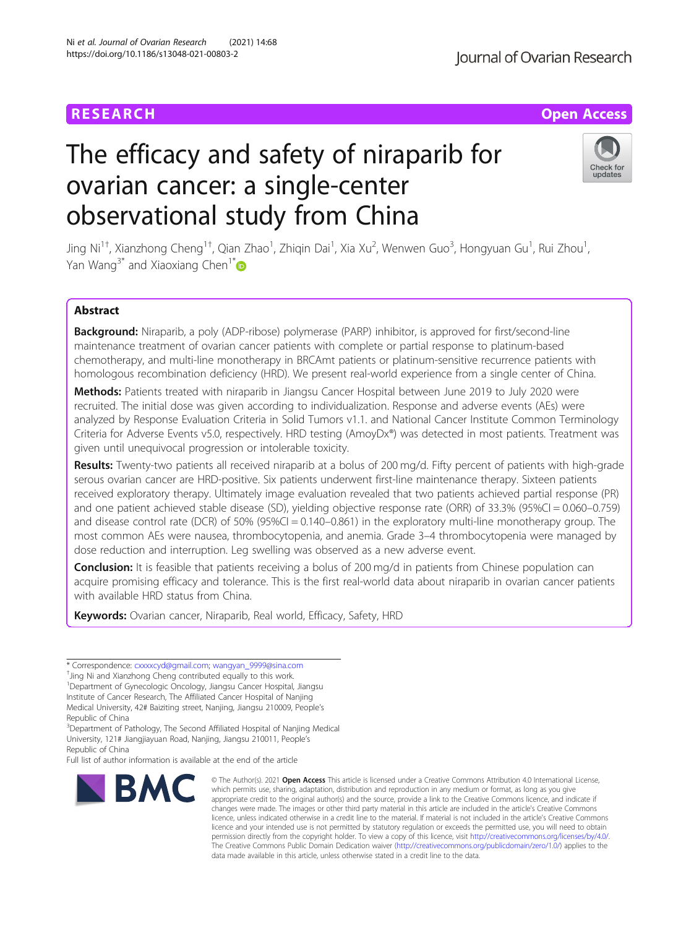## The efficacy and safety of niraparib for ovarian cancer: a single-center observational study from China

Jing Ni<sup>1+</sup>, Xianzhong Cheng<sup>1+</sup>, Qian Zhao<sup>1</sup>, Zhiqin Dai<sup>1</sup>, Xia Xu<sup>2</sup>, Wenwen Guo<sup>3</sup>, Hongyuan Gu<sup>1</sup>, Rui Zhou<sup>1</sup> , Yan Wang<sup>3[\\*](http://orcid.org/0000-0002-2400-4749)</sup> and Xiaoxiang Chen<sup>1\*</sup>

### Abstract

Background: Niraparib, a poly (ADP-ribose) polymerase (PARP) inhibitor, is approved for first/second-line maintenance treatment of ovarian cancer patients with complete or partial response to platinum-based chemotherapy, and multi-line monotherapy in BRCAmt patients or platinum-sensitive recurrence patients with homologous recombination deficiency (HRD). We present real-world experience from a single center of China.

Methods: Patients treated with niraparib in Jiangsu Cancer Hospital between June 2019 to July 2020 were recruited. The initial dose was given according to individualization. Response and adverse events (AEs) were analyzed by Response Evaluation Criteria in Solid Tumors v1.1. and National Cancer Institute Common Terminology Criteria for Adverse Events v5.0, respectively. HRD testing (AmoyDx®) was detected in most patients. Treatment was given until unequivocal progression or intolerable toxicity.

Results: Twenty-two patients all received niraparib at a bolus of 200 mg/d. Fifty percent of patients with high-grade serous ovarian cancer are HRD-positive. Six patients underwent first-line maintenance therapy. Sixteen patients received exploratory therapy. Ultimately image evaluation revealed that two patients achieved partial response (PR) and one patient achieved stable disease (SD), yielding objective response rate (ORR) of 33.3% (95%CI = 0.060–0.759) and disease control rate (DCR) of 50% (95%CI = 0.140–0.861) in the exploratory multi-line monotherapy group. The most common AEs were nausea, thrombocytopenia, and anemia. Grade 3–4 thrombocytopenia were managed by dose reduction and interruption. Leg swelling was observed as a new adverse event.

**Conclusion:** It is feasible that patients receiving a bolus of 200 mg/d in patients from Chinese population can acquire promising efficacy and tolerance. This is the first real-world data about niraparib in ovarian cancer patients with available HRD status from China.

Keywords: Ovarian cancer, Niraparib, Real world, Efficacy, Safety, HRD

<sup>+</sup>Jing Ni and Xianzhong Cheng contributed equally to this work.

<sup>1</sup>Department of Gynecologic Oncology, Jiangsu Cancer Hospital, Jiangsu Institute of Cancer Research, The Affiliated Cancer Hospital of Nanjing

Medical University, 42# Baiziting street, Nanjing, Jiangsu 210009, People's Republic of China

<sup>3</sup>Department of Pathology, The Second Affiliated Hospital of Nanjing Medical University, 121# Jiangjiayuan Road, Nanjing, Jiangsu 210011, People's Republic of China

Full list of author information is available at the end of the article

**BMC** 

# \* Correspondence: [cxxxxcyd@gmail.com;](mailto:cxxxxcyd@gmail.com) [wangyan\\_9999@sina.com](mailto:wangyan_9999@sina.com) †

which permits use, sharing, adaptation, distribution and reproduction in any medium or format, as long as you give appropriate credit to the original author(s) and the source, provide a link to the Creative Commons licence, and indicate if changes were made. The images or other third party material in this article are included in the article's Creative Commons licence, unless indicated otherwise in a credit line to the material. If material is not included in the article's Creative Commons licence and your intended use is not permitted by statutory regulation or exceeds the permitted use, you will need to obtain permission directly from the copyright holder. To view a copy of this licence, visit [http://creativecommons.org/licenses/by/4.0/.](http://creativecommons.org/licenses/by/4.0/) The Creative Commons Public Domain Dedication waiver [\(http://creativecommons.org/publicdomain/zero/1.0/](http://creativecommons.org/publicdomain/zero/1.0/)) applies to the data made available in this article, unless otherwise stated in a credit line to the data.





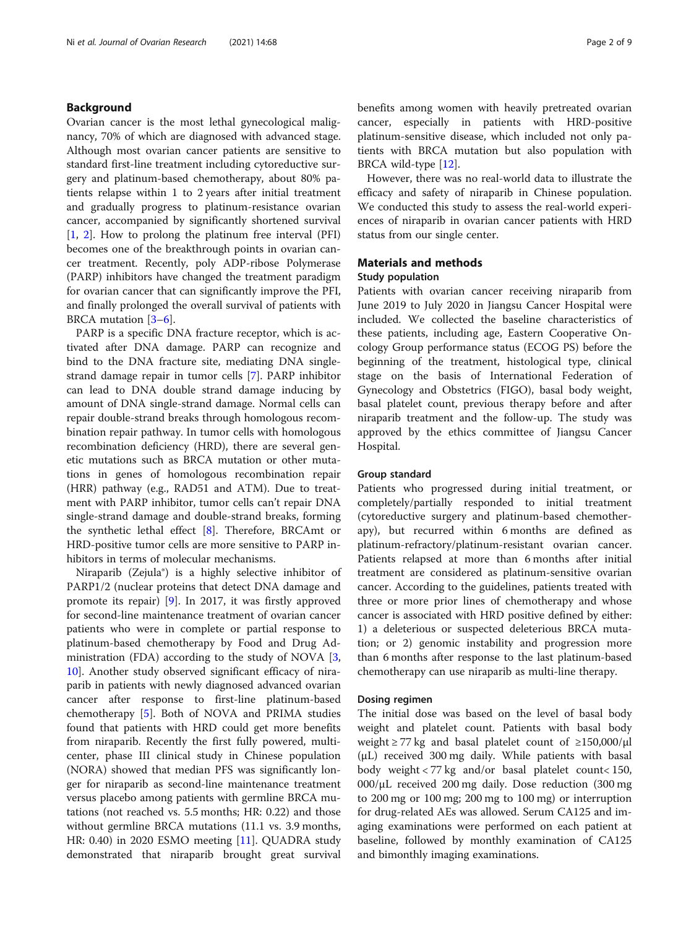#### Background

Ovarian cancer is the most lethal gynecological malignancy, 70% of which are diagnosed with advanced stage. Although most ovarian cancer patients are sensitive to standard first-line treatment including cytoreductive surgery and platinum-based chemotherapy, about 80% patients relapse within 1 to 2 years after initial treatment and gradually progress to platinum-resistance ovarian cancer, accompanied by significantly shortened survival [[1,](#page-7-0) [2](#page-7-0)]. How to prolong the platinum free interval (PFI) becomes one of the breakthrough points in ovarian cancer treatment. Recently, poly ADP-ribose Polymerase (PARP) inhibitors have changed the treatment paradigm for ovarian cancer that can significantly improve the PFI, and finally prolonged the overall survival of patients with BRCA mutation [[3](#page-7-0)–[6](#page-7-0)].

PARP is a specific DNA fracture receptor, which is activated after DNA damage. PARP can recognize and bind to the DNA fracture site, mediating DNA singlestrand damage repair in tumor cells [[7](#page-7-0)]. PARP inhibitor can lead to DNA double strand damage inducing by amount of DNA single-strand damage. Normal cells can repair double-strand breaks through homologous recombination repair pathway. In tumor cells with homologous recombination deficiency (HRD), there are several genetic mutations such as BRCA mutation or other mutations in genes of homologous recombination repair (HRR) pathway (e.g., RAD51 and ATM). Due to treatment with PARP inhibitor, tumor cells can't repair DNA single-strand damage and double-strand breaks, forming the synthetic lethal effect [[8\]](#page-7-0). Therefore, BRCAmt or HRD-positive tumor cells are more sensitive to PARP inhibitors in terms of molecular mechanisms.

Niraparib (Zejula®) is a highly selective inhibitor of PARP1/2 (nuclear proteins that detect DNA damage and promote its repair) [[9\]](#page-7-0). In 2017, it was firstly approved for second-line maintenance treatment of ovarian cancer patients who were in complete or partial response to platinum-based chemotherapy by Food and Drug Administration (FDA) according to the study of NOVA  $[3, 3]$  $[3, 3]$ [10\]](#page-7-0). Another study observed significant efficacy of niraparib in patients with newly diagnosed advanced ovarian cancer after response to first-line platinum-based chemotherapy [\[5](#page-7-0)]. Both of NOVA and PRIMA studies found that patients with HRD could get more benefits from niraparib. Recently the first fully powered, multicenter, phase III clinical study in Chinese population (NORA) showed that median PFS was significantly longer for niraparib as second-line maintenance treatment versus placebo among patients with germline BRCA mutations (not reached vs. 5.5 months; HR: 0.22) and those without germline BRCA mutations (11.1 vs. 3.9 months, HR: 0.40) in 2020 ESMO meeting [[11](#page-7-0)]. QUADRA study demonstrated that niraparib brought great survival benefits among women with heavily pretreated ovarian cancer, especially in patients with HRD-positive platinum-sensitive disease, which included not only patients with BRCA mutation but also population with BRCA wild-type [\[12\]](#page-7-0).

However, there was no real-world data to illustrate the efficacy and safety of niraparib in Chinese population. We conducted this study to assess the real-world experiences of niraparib in ovarian cancer patients with HRD status from our single center.

#### Materials and methods

#### Study population

Patients with ovarian cancer receiving niraparib from June 2019 to July 2020 in Jiangsu Cancer Hospital were included. We collected the baseline characteristics of these patients, including age, Eastern Cooperative Oncology Group performance status (ECOG PS) before the beginning of the treatment, histological type, clinical stage on the basis of International Federation of Gynecology and Obstetrics (FIGO), basal body weight, basal platelet count, previous therapy before and after niraparib treatment and the follow-up. The study was approved by the ethics committee of Jiangsu Cancer Hospital.

#### Group standard

Patients who progressed during initial treatment, or completely/partially responded to initial treatment (cytoreductive surgery and platinum-based chemotherapy), but recurred within 6 months are defined as platinum-refractory/platinum-resistant ovarian cancer. Patients relapsed at more than 6 months after initial treatment are considered as platinum-sensitive ovarian cancer. According to the guidelines, patients treated with three or more prior lines of chemotherapy and whose cancer is associated with HRD positive defined by either: 1) a deleterious or suspected deleterious BRCA mutation; or 2) genomic instability and progression more than 6 months after response to the last platinum-based chemotherapy can use niraparib as multi-line therapy.

#### Dosing regimen

The initial dose was based on the level of basal body weight and platelet count. Patients with basal body weight  $\geq$  77 kg and basal platelet count of  $\geq$ 150,000/ $\mu$ l (μL) received 300 mg daily. While patients with basal body weight < 77 kg and/or basal platelet count< 150, 000/μL received 200 mg daily. Dose reduction (300 mg to 200 mg or 100 mg; 200 mg to 100 mg) or interruption for drug-related AEs was allowed. Serum CA125 and imaging examinations were performed on each patient at baseline, followed by monthly examination of CA125 and bimonthly imaging examinations.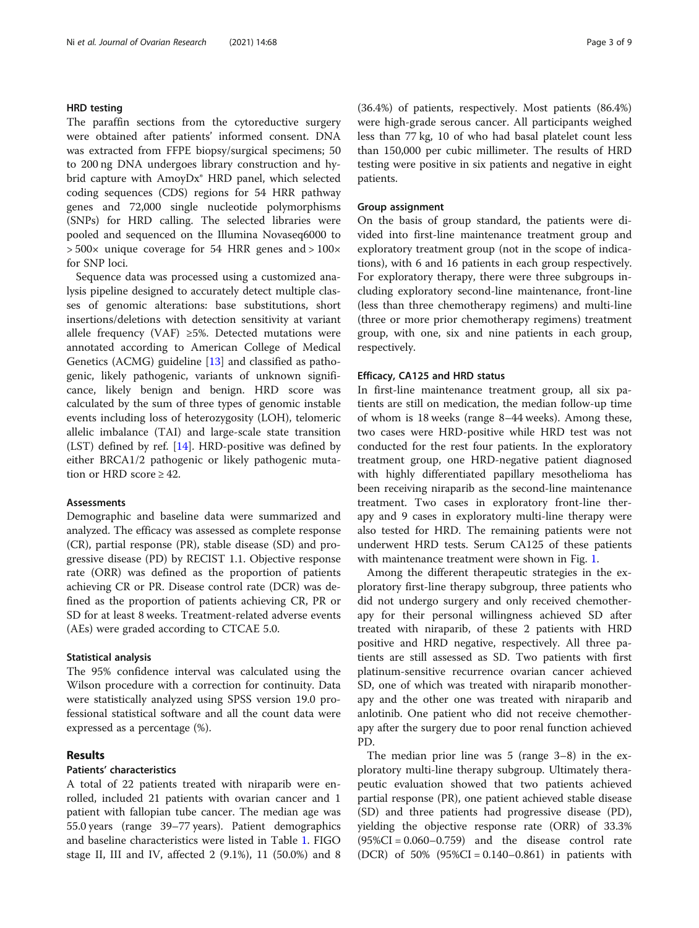#### HRD testing

The paraffin sections from the cytoreductive surgery were obtained after patients' informed consent. DNA was extracted from FFPE biopsy/surgical specimens; 50 to 200 ng DNA undergoes library construction and hybrid capture with AmoyDx<sup>®</sup> HRD panel, which selected coding sequences (CDS) regions for 54 HRR pathway genes and 72,000 single nucleotide polymorphisms (SNPs) for HRD calling. The selected libraries were pooled and sequenced on the Illumina Novaseq6000 to > 500× unique coverage for 54 HRR genes and > 100× for SNP loci.

Sequence data was processed using a customized analysis pipeline designed to accurately detect multiple classes of genomic alterations: base substitutions, short insertions/deletions with detection sensitivity at variant allele frequency (VAF) ≥5%. Detected mutations were annotated according to American College of Medical Genetics (ACMG) guideline [\[13](#page-7-0)] and classified as pathogenic, likely pathogenic, variants of unknown significance, likely benign and benign. HRD score was calculated by the sum of three types of genomic instable events including loss of heterozygosity (LOH), telomeric allelic imbalance (TAI) and large-scale state transition (LST) defined by ref. [[14](#page-7-0)]. HRD-positive was defined by either BRCA1/2 pathogenic or likely pathogenic mutation or HRD score  $\geq 42$ .

#### **Assessments**

Demographic and baseline data were summarized and analyzed. The efficacy was assessed as complete response (CR), partial response (PR), stable disease (SD) and progressive disease (PD) by RECIST 1.1. Objective response rate (ORR) was defined as the proportion of patients achieving CR or PR. Disease control rate (DCR) was defined as the proportion of patients achieving CR, PR or SD for at least 8 weeks. Treatment-related adverse events (AEs) were graded according to CTCAE 5.0.

#### Statistical analysis

The 95% confidence interval was calculated using the Wilson procedure with a correction for continuity. Data were statistically analyzed using SPSS version 19.0 professional statistical software and all the count data were expressed as a percentage (%).

#### Results

#### Patients' characteristics

A total of 22 patients treated with niraparib were enrolled, included 21 patients with ovarian cancer and 1 patient with fallopian tube cancer. The median age was 55.0 years (range 39–77 years). Patient demographics and baseline characteristics were listed in Table [1.](#page-3-0) FIGO stage II, III and IV, affected 2 (9.1%), 11 (50.0%) and 8

(36.4%) of patients, respectively. Most patients (86.4%) were high-grade serous cancer. All participants weighed less than 77 kg, 10 of who had basal platelet count less than 150,000 per cubic millimeter. The results of HRD testing were positive in six patients and negative in eight patients.

#### Group assignment

On the basis of group standard, the patients were divided into first-line maintenance treatment group and exploratory treatment group (not in the scope of indications), with 6 and 16 patients in each group respectively. For exploratory therapy, there were three subgroups including exploratory second-line maintenance, front-line (less than three chemotherapy regimens) and multi-line (three or more prior chemotherapy regimens) treatment group, with one, six and nine patients in each group, respectively.

#### Efficacy, CA125 and HRD status

In first-line maintenance treatment group, all six patients are still on medication, the median follow-up time of whom is 18 weeks (range 8–44 weeks). Among these, two cases were HRD-positive while HRD test was not conducted for the rest four patients. In the exploratory treatment group, one HRD-negative patient diagnosed with highly differentiated papillary mesothelioma has been receiving niraparib as the second-line maintenance treatment. Two cases in exploratory front-line therapy and 9 cases in exploratory multi-line therapy were also tested for HRD. The remaining patients were not underwent HRD tests. Serum CA125 of these patients with maintenance treatment were shown in Fig. [1.](#page-4-0)

Among the different therapeutic strategies in the exploratory first-line therapy subgroup, three patients who did not undergo surgery and only received chemotherapy for their personal willingness achieved SD after treated with niraparib, of these 2 patients with HRD positive and HRD negative, respectively. All three patients are still assessed as SD. Two patients with first platinum-sensitive recurrence ovarian cancer achieved SD, one of which was treated with niraparib monotherapy and the other one was treated with niraparib and anlotinib. One patient who did not receive chemotherapy after the surgery due to poor renal function achieved PD.

The median prior line was 5 (range 3–8) in the exploratory multi-line therapy subgroup. Ultimately therapeutic evaluation showed that two patients achieved partial response (PR), one patient achieved stable disease (SD) and three patients had progressive disease (PD), yielding the objective response rate (ORR) of 33.3%  $(95\%CI = 0.060 - 0.759)$  and the disease control rate (DCR) of  $50\%$  (95%CI = 0.140–0.861) in patients with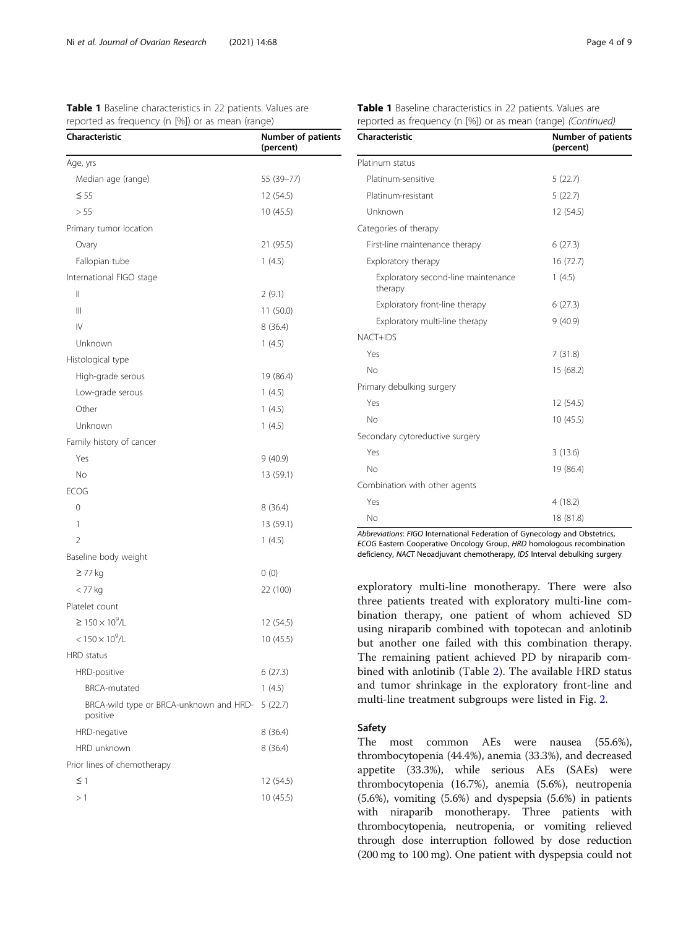<span id="page-3-0"></span>

| <b>Table 1</b> Baseline characteristics in 22 patients. Values are |  |  |  |  |
|--------------------------------------------------------------------|--|--|--|--|
| reported as frequency (n [%]) or as mean (range)                   |  |  |  |  |

| Characteristic                                      | Number of patients<br>(percent) |
|-----------------------------------------------------|---------------------------------|
| Age, yrs                                            |                                 |
| Median age (range)                                  | 55 (39-77)                      |
| $\leq 55$                                           | 12 (54.5)                       |
| > 55                                                | 10(45.5)                        |
| Primary tumor location                              |                                 |
| Ovary                                               | 21 (95.5)                       |
| Fallopian tube                                      | 1(4.5)                          |
| International FIGO stage                            |                                 |
| $\mathsf{II}$                                       | 2(9.1)                          |
| Ш                                                   | 11 (50.0)                       |
| $\mathsf{IV}$                                       | 8(36.4)                         |
| Unknown                                             | 1(4.5)                          |
| Histological type                                   |                                 |
| High-grade serous                                   | 19 (86.4)                       |
| Low-grade serous                                    | 1(4.5)                          |
| Other                                               | 1(4.5)                          |
| Unknown                                             | 1(4.5)                          |
| Family history of cancer                            |                                 |
| Yes                                                 | 9(40.9)                         |
| No                                                  | 13 (59.1)                       |
| <b>ECOG</b>                                         |                                 |
| 0                                                   | 8(36.4)                         |
| 1                                                   | 13 (59.1)                       |
| $\overline{2}$                                      | 1(4.5)                          |
| Baseline body weight                                |                                 |
| ≥ 77 kg                                             | 0(0)                            |
| $<$ 77 $kg$                                         | 22 (100)                        |
| Platelet count                                      |                                 |
| ≥ 150 × 10 <sup>9</sup> /L                          | 12 (54.5)                       |
| $< 150 \times 10^{9}$ /L                            | 10 (45.5)                       |
| HRD status                                          |                                 |
| HRD-positive                                        | 6(27.3)                         |
| <b>BRCA-mutated</b>                                 | 1(4.5)                          |
| BRCA-wild type or BRCA-unknown and HRD-<br>positive | 5(22.7)                         |
| HRD-negative                                        | 8(36.4)                         |
| HRD unknown                                         | 8(36.4)                         |
| Prior lines of chemotherapy                         |                                 |
| $\leq$ 1                                            | 12 (54.5)                       |
| >1                                                  | 10(45.5)                        |
|                                                     |                                 |

|  | Table 1 Baseline characteristics in 22 patients. Values are  |  |  |
|--|--------------------------------------------------------------|--|--|
|  | reported as frequency (n [%]) or as mean (range) (Continued) |  |  |

| <b>Characteristic</b>                          | <b>Number of patients</b><br>(percent) |
|------------------------------------------------|----------------------------------------|
| Platinum status                                |                                        |
| Platinum-sensitive                             | 5(22.7)                                |
| Platinum-resistant                             | 5(22.7)                                |
| Unknown                                        | 12 (54.5)                              |
| Categories of therapy                          |                                        |
| First-line maintenance therapy                 | 6(27.3)                                |
| Exploratory therapy                            | 16 (72.7)                              |
| Exploratory second-line maintenance<br>therapy | 1(4.5)                                 |
| Exploratory front-line therapy                 | 6(27.3)                                |
| Exploratory multi-line therapy                 | 9(40.9)                                |
| NACT+IDS                                       |                                        |
| Yes                                            | 7(31.8)                                |
| No                                             | 15 (68.2)                              |
| Primary debulking surgery                      |                                        |
| Yes                                            | 12 (54.5)                              |
| No                                             | 10(45.5)                               |
| Secondary cytoreductive surgery                |                                        |
| Yes                                            | 3(13.6)                                |
| No                                             | 19 (86.4)                              |
| Combination with other agents                  |                                        |
| Yes                                            | 4(18.2)                                |
| No                                             | 18 (81.8)                              |

Abbreviations: FIGO International Federation of Gynecology and Obstetrics, ECOG Eastern Cooperative Oncology Group, HRD homologous recombination deficiency, NACT Neoadjuvant chemotherapy, IDS Interval debulking surgery

exploratory multi-line monotherapy. There were also three patients treated with exploratory multi-line combination therapy, one patient of whom achieved SD using niraparib combined with topotecan and anlotinib but another one failed with this combination therapy. The remaining patient achieved PD by niraparib combined with anlotinib (Table [2](#page-4-0)). The available HRD status and tumor shrinkage in the exploratory front-line and multi-line treatment subgroups were listed in Fig. [2](#page-5-0).

#### Safety

The most common AEs were nausea (55.6%), thrombocytopenia (44.4%), anemia (33.3%), and decreased appetite (33.3%), while serious AEs (SAEs) were thrombocytopenia (16.7%), anemia (5.6%), neutropenia (5.6%), vomiting (5.6%) and dyspepsia (5.6%) in patients with niraparib monotherapy. Three patients with thrombocytopenia, neutropenia, or vomiting relieved through dose interruption followed by dose reduction (200 mg to 100 mg). One patient with dyspepsia could not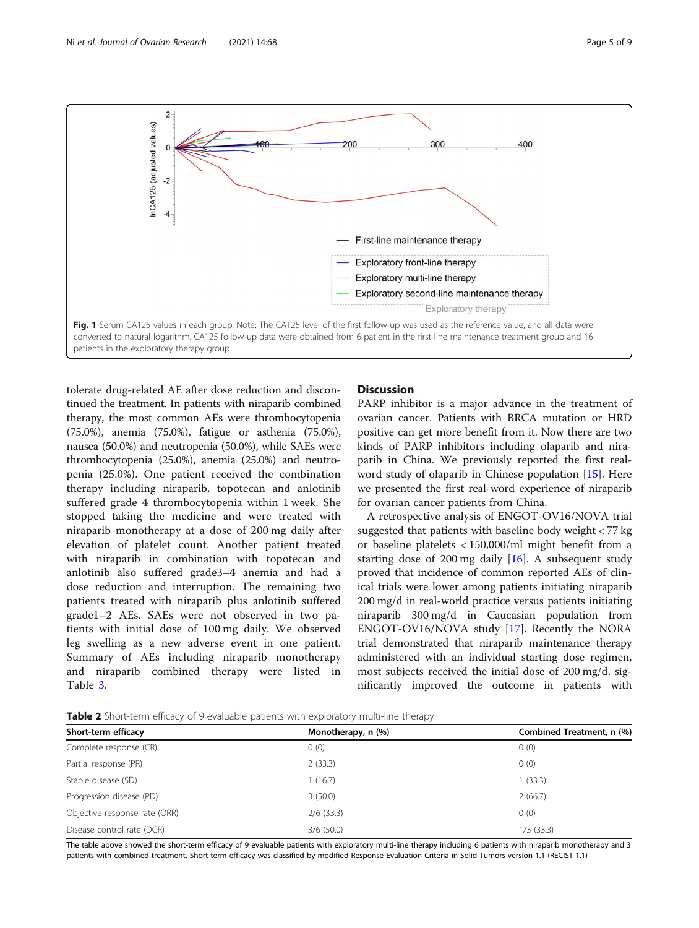<span id="page-4-0"></span>

tolerate drug-related AE after dose reduction and discontinued the treatment. In patients with niraparib combined therapy, the most common AEs were thrombocytopenia (75.0%), anemia (75.0%), fatigue or asthenia (75.0%), nausea (50.0%) and neutropenia (50.0%), while SAEs were thrombocytopenia (25.0%), anemia (25.0%) and neutropenia (25.0%). One patient received the combination therapy including niraparib, topotecan and anlotinib suffered grade 4 thrombocytopenia within 1 week. She stopped taking the medicine and were treated with niraparib monotherapy at a dose of 200 mg daily after elevation of platelet count. Another patient treated with niraparib in combination with topotecan and anlotinib also suffered grade3–4 anemia and had a dose reduction and interruption. The remaining two patients treated with niraparib plus anlotinib suffered grade1–2 AEs. SAEs were not observed in two patients with initial dose of 100 mg daily. We observed leg swelling as a new adverse event in one patient. Summary of AEs including niraparib monotherapy and niraparib combined therapy were listed in Table [3](#page-6-0).

#### **Discussion**

PARP inhibitor is a major advance in the treatment of ovarian cancer. Patients with BRCA mutation or HRD positive can get more benefit from it. Now there are two kinds of PARP inhibitors including olaparib and niraparib in China. We previously reported the first realword study of olaparib in Chinese population [[15\]](#page-7-0). Here we presented the first real-word experience of niraparib for ovarian cancer patients from China.

A retrospective analysis of ENGOT-OV16/NOVA trial suggested that patients with baseline body weight < 77 kg or baseline platelets < 150,000/ml might benefit from a starting dose of 200 mg daily  $[16]$  $[16]$  $[16]$ . A subsequent study proved that incidence of common reported AEs of clinical trials were lower among patients initiating niraparib 200 mg/d in real-world practice versus patients initiating niraparib 300 mg/d in Caucasian population from ENGOT-OV16/NOVA study [[17\]](#page-7-0). Recently the NORA trial demonstrated that niraparib maintenance therapy administered with an individual starting dose regimen, most subjects received the initial dose of 200 mg/d, significantly improved the outcome in patients with

Table 2 Short-term efficacy of 9 evaluable patients with exploratory multi-line therapy

| Short-term efficacy           | Monotherapy, n (%) | Combined Treatment, n (%) |
|-------------------------------|--------------------|---------------------------|
| Complete response (CR)        | 0(0)               | 0(0)                      |
| Partial response (PR)         | 2(33.3)            | 0(0)                      |
| Stable disease (SD)           | 1(16.7)            | 1(33.3)                   |
| Progression disease (PD)      | 3(50.0)            | 2(66.7)                   |
| Objective response rate (ORR) | $2/6$ (33.3)       | 0(0)                      |
| Disease control rate (DCR)    | 3/6(50.0)          | $1/3$ (33.3)              |

The table above showed the short-term efficacy of 9 evaluable patients with exploratory multi-line therapy including 6 patients with niraparib monotherapy and 3 patients with combined treatment. Short-term efficacy was classified by modified Response Evaluation Criteria in Solid Tumors version 1.1 (RECIST 1.1)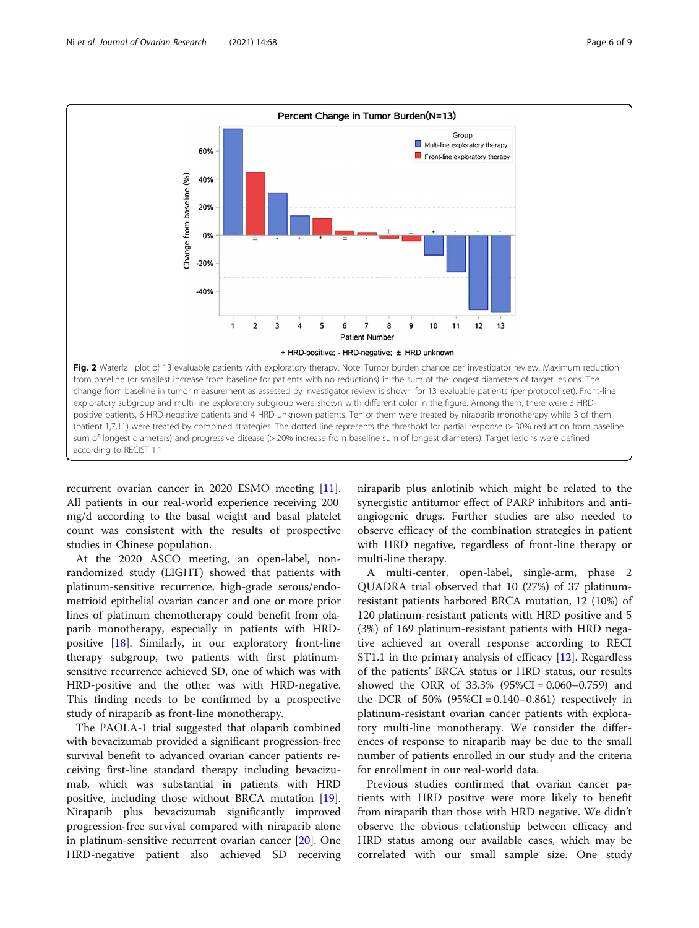<span id="page-5-0"></span>

recurrent ovarian cancer in 2020 ESMO meeting [\[11](#page-7-0)]. All patients in our real-world experience receiving 200 mg/d according to the basal weight and basal platelet count was consistent with the results of prospective studies in Chinese population.

At the 2020 ASCO meeting, an open-label, nonrandomized study (LIGHT) showed that patients with platinum-sensitive recurrence, high-grade serous/endometrioid epithelial ovarian cancer and one or more prior lines of platinum chemotherapy could benefit from olaparib monotherapy, especially in patients with HRDpositive [[18](#page-8-0)]. Similarly, in our exploratory front-line therapy subgroup, two patients with first platinumsensitive recurrence achieved SD, one of which was with HRD-positive and the other was with HRD-negative. This finding needs to be confirmed by a prospective study of niraparib as front-line monotherapy.

The PAOLA-1 trial suggested that olaparib combined with bevacizumab provided a significant progression-free survival benefit to advanced ovarian cancer patients receiving first-line standard therapy including bevacizumab, which was substantial in patients with HRD positive, including those without BRCA mutation [\[19](#page-8-0)]. Niraparib plus bevacizumab significantly improved progression-free survival compared with niraparib alone in platinum-sensitive recurrent ovarian cancer [[20](#page-8-0)]. One HRD-negative patient also achieved SD receiving niraparib plus anlotinib which might be related to the synergistic antitumor effect of PARP inhibitors and antiangiogenic drugs. Further studies are also needed to observe efficacy of the combination strategies in patient with HRD negative, regardless of front-line therapy or multi-line therapy.

A multi-center, open-label, single-arm, phase 2 QUADRA trial observed that 10 (27%) of 37 platinumresistant patients harbored BRCA mutation, 12 (10%) of 120 platinum-resistant patients with HRD positive and 5 (3%) of 169 platinum-resistant patients with HRD negative achieved an overall response according to RECI ST1.1 in the primary analysis of efficacy  $[12]$ . Regardless of the patients' BRCA status or HRD status, our results showed the ORR of 33.3% (95%CI = 0.060–0.759) and the DCR of  $50\%$  (95%CI = 0.140–0.861) respectively in platinum-resistant ovarian cancer patients with exploratory multi-line monotherapy. We consider the differences of response to niraparib may be due to the small number of patients enrolled in our study and the criteria for enrollment in our real-world data.

Previous studies confirmed that ovarian cancer patients with HRD positive were more likely to benefit from niraparib than those with HRD negative. We didn't observe the obvious relationship between efficacy and HRD status among our available cases, which may be correlated with our small sample size. One study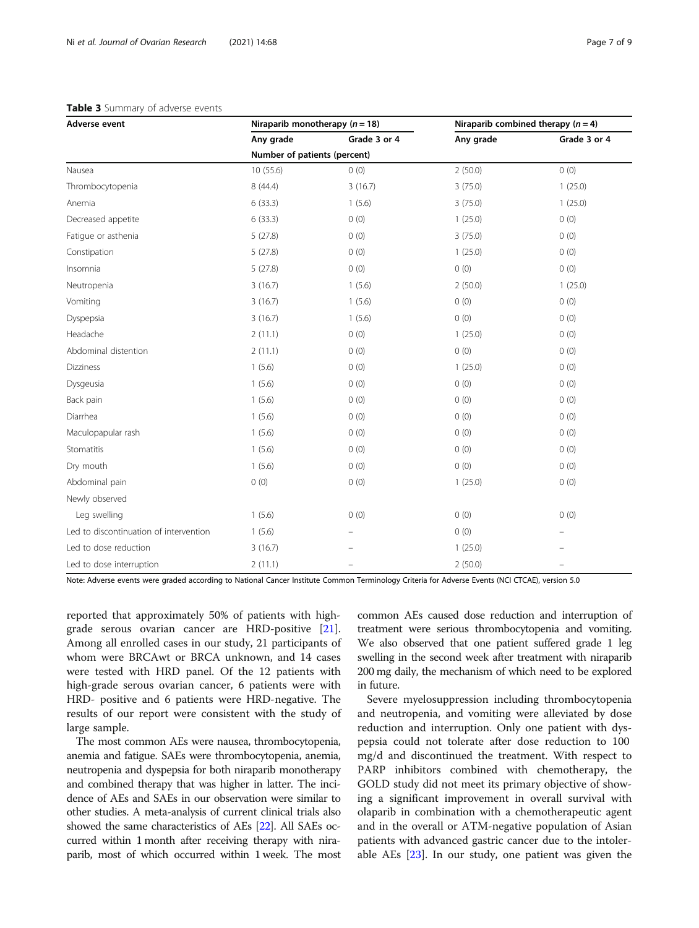#### <span id="page-6-0"></span>Table 3 Summary of adverse events

| Adverse event                          | Niraparib monotherapy ( $n = 18$ ) |              | Niraparib combined therapy $(n = 4)$ |              |  |
|----------------------------------------|------------------------------------|--------------|--------------------------------------|--------------|--|
|                                        | Any grade                          | Grade 3 or 4 | Any grade                            | Grade 3 or 4 |  |
|                                        | Number of patients (percent)       |              |                                      |              |  |
| Nausea                                 | 10(55.6)                           | 0(0)         | 2(50.0)                              | 0(0)         |  |
| Thrombocytopenia                       | 8 (44.4)                           | 3(16.7)      | 3(75.0)                              | 1(25.0)      |  |
| Anemia                                 | 6(33.3)                            | 1(5.6)       | 3(75.0)                              | 1(25.0)      |  |
| Decreased appetite                     | 6(33.3)                            | 0(0)         | 1(25.0)                              | 0(0)         |  |
| Fatique or asthenia                    | 5(27.8)                            | 0(0)         | 3(75.0)                              | 0(0)         |  |
| Constipation                           | 5(27.8)                            | 0(0)         | 1(25.0)                              | 0(0)         |  |
| Insomnia                               | 5(27.8)                            | 0(0)         | 0(0)                                 | 0(0)         |  |
| Neutropenia                            | 3(16.7)                            | 1(5.6)       | 2(50.0)                              | 1(25.0)      |  |
| Vomiting                               | 3(16.7)                            | 1(5.6)       | 0(0)                                 | 0(0)         |  |
| Dyspepsia                              | 3(16.7)                            | 1(5.6)       | 0(0)                                 | 0(0)         |  |
| Headache                               | 2(11.1)                            | 0(0)         | 1(25.0)                              | 0(0)         |  |
| Abdominal distention                   | 2(11.1)                            | 0(0)         | 0(0)                                 | 0(0)         |  |
| <b>Dizziness</b>                       | 1(5.6)                             | 0(0)         | 1(25.0)                              | 0(0)         |  |
| Dysgeusia                              | 1(5.6)                             | 0(0)         | 0(0)                                 | 0(0)         |  |
| Back pain                              | 1(5.6)                             | 0(0)         | 0(0)                                 | 0(0)         |  |
| Diarrhea                               | 1(5.6)                             | 0(0)         | 0(0)                                 | 0(0)         |  |
| Maculopapular rash                     | 1(5.6)                             | 0(0)         | 0(0)                                 | 0(0)         |  |
| Stomatitis                             | 1(5.6)                             | 0(0)         | 0(0)                                 | 0(0)         |  |
| Dry mouth                              | 1(5.6)                             | 0(0)         | 0(0)                                 | 0(0)         |  |
| Abdominal pain                         | 0(0)                               | 0(0)         | 1(25.0)                              | 0(0)         |  |
| Newly observed                         |                                    |              |                                      |              |  |
| Leg swelling                           | 1(5.6)                             | 0(0)         | 0(0)                                 | 0(0)         |  |
| Led to discontinuation of intervention | 1(5.6)                             |              | 0(0)                                 |              |  |
| Led to dose reduction                  | 3(16.7)                            |              | 1(25.0)                              |              |  |
| Led to dose interruption               | 2(11.1)                            |              | 2(50.0)                              | $\equiv$     |  |

Note: Adverse events were graded according to National Cancer Institute Common Terminology Criteria for Adverse Events (NCI CTCAE), version 5.0

reported that approximately 50% of patients with highgrade serous ovarian cancer are HRD-positive [\[21](#page-8-0)]. Among all enrolled cases in our study, 21 participants of whom were BRCAwt or BRCA unknown, and 14 cases were tested with HRD panel. Of the 12 patients with high-grade serous ovarian cancer, 6 patients were with HRD- positive and 6 patients were HRD-negative. The results of our report were consistent with the study of large sample.

The most common AEs were nausea, thrombocytopenia, anemia and fatigue. SAEs were thrombocytopenia, anemia, neutropenia and dyspepsia for both niraparib monotherapy and combined therapy that was higher in latter. The incidence of AEs and SAEs in our observation were similar to other studies. A meta-analysis of current clinical trials also showed the same characteristics of AEs [\[22](#page-8-0)]. All SAEs occurred within 1 month after receiving therapy with niraparib, most of which occurred within 1 week. The most common AEs caused dose reduction and interruption of treatment were serious thrombocytopenia and vomiting. We also observed that one patient suffered grade 1 leg swelling in the second week after treatment with niraparib 200 mg daily, the mechanism of which need to be explored in future.

Severe myelosuppression including thrombocytopenia and neutropenia, and vomiting were alleviated by dose reduction and interruption. Only one patient with dyspepsia could not tolerate after dose reduction to 100 mg/d and discontinued the treatment. With respect to PARP inhibitors combined with chemotherapy, the GOLD study did not meet its primary objective of showing a significant improvement in overall survival with olaparib in combination with a chemotherapeutic agent and in the overall or ATM-negative population of Asian patients with advanced gastric cancer due to the intolerable AEs [\[23](#page-8-0)]. In our study, one patient was given the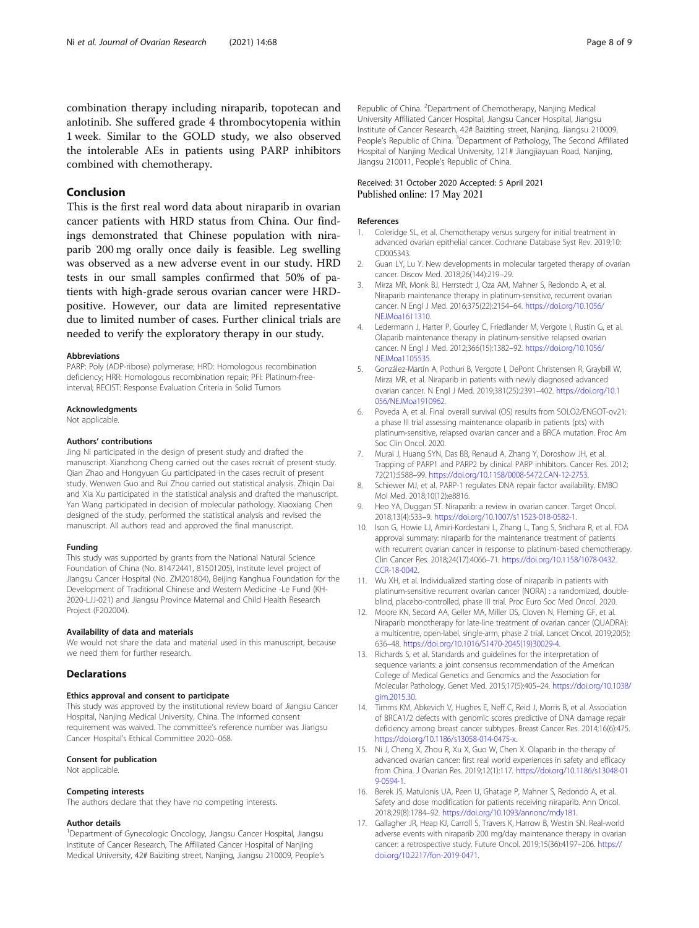<span id="page-7-0"></span>anlotinib. She suffered grade 4 thrombocytopenia within 1 week. Similar to the GOLD study, we also observed the intolerable AEs in patients using PARP inhibitors combined with chemotherapy.

#### Conclusion

This is the first real word data about niraparib in ovarian cancer patients with HRD status from China. Our findings demonstrated that Chinese population with niraparib 200 mg orally once daily is feasible. Leg swelling was observed as a new adverse event in our study. HRD tests in our small samples confirmed that 50% of patients with high-grade serous ovarian cancer were HRDpositive. However, our data are limited representative due to limited number of cases. Further clinical trials are needed to verify the exploratory therapy in our study.

#### Abbreviations

PARP: Poly (ADP-ribose) polymerase; HRD: Homologous recombination deficiency; HRR: Homologous recombination repair; PFI: Platinum-freeinterval; RECIST: Response Evaluation Criteria in Solid Tumors

#### Acknowledgments

Not applicable.

#### Authors' contributions

Jing Ni participated in the design of present study and drafted the manuscript. Xianzhong Cheng carried out the cases recruit of present study. Qian Zhao and Hongyuan Gu participated in the cases recruit of present study. Wenwen Guo and Rui Zhou carried out statistical analysis. Zhiqin Dai and Xia Xu participated in the statistical analysis and drafted the manuscript. Yan Wang participated in decision of molecular pathology. Xiaoxiang Chen designed of the study, performed the statistical analysis and revised the manuscript. All authors read and approved the final manuscript.

#### Funding

This study was supported by grants from the National Natural Science Foundation of China (No. 81472441, 81501205), Institute level project of Jiangsu Cancer Hospital (No. ZM201804), Beijing Kanghua Foundation for the Development of Traditional Chinese and Western Medicine -Le Fund (KH-2020-LJJ-021) and Jiangsu Province Maternal and Child Health Research Project (F202004).

#### Availability of data and materials

We would not share the data and material used in this manuscript, because we need them for further research.

#### **Declarations**

#### Ethics approval and consent to participate

This study was approved by the institutional review board of Jiangsu Cancer Hospital, Nanjing Medical University, China. The informed consent requirement was waived. The committee's reference number was Jiangsu Cancer Hospital's Ethical Committee 2020–068.

#### Consent for publication

Not applicable.

#### Competing interests

The authors declare that they have no competing interests.

#### Author details

<sup>1</sup>Department of Gynecologic Oncology, Jiangsu Cancer Hospital, Jiangsu Institute of Cancer Research, The Affiliated Cancer Hospital of Nanjing Medical University, 42# Baiziting street, Nanjing, Jiangsu 210009, People's

#### Received: 31 October 2020 Accepted: 5 April 2021 Published online: 17 May 2021

#### References

- 1. Coleridge SL, et al. Chemotherapy versus surgery for initial treatment in advanced ovarian epithelial cancer. Cochrane Database Syst Rev. 2019;10: CD005343.
- 2. Guan LY, Lu Y. New developments in molecular targeted therapy of ovarian cancer. Discov Med. 2018;26(144):219–29.
- 3. Mirza MR, Monk BJ, Herrstedt J, Oza AM, Mahner S, Redondo A, et al. Niraparib maintenance therapy in platinum-sensitive, recurrent ovarian cancer. N Engl J Med. 2016;375(22):2154–64. [https://doi.org/10.1056/](https://doi.org/10.1056/NEJMoa1611310) [NEJMoa1611310](https://doi.org/10.1056/NEJMoa1611310).
- 4. Ledermann J, Harter P, Gourley C, Friedlander M, Vergote I, Rustin G, et al. Olaparib maintenance therapy in platinum-sensitive relapsed ovarian cancer. N Engl J Med. 2012;366(15):1382–92. [https://doi.org/10.1056/](https://doi.org/10.1056/NEJMoa1105535) [NEJMoa1105535](https://doi.org/10.1056/NEJMoa1105535).
- 5. González-Martín A, Pothuri B, Vergote I, DePont Christensen R, Graybill W, Mirza MR, et al. Niraparib in patients with newly diagnosed advanced ovarian cancer. N Engl J Med. 2019;381(25):2391–402. [https://doi.org/10.1](https://doi.org/10.1056/NEJMoa1910962) [056/NEJMoa1910962.](https://doi.org/10.1056/NEJMoa1910962)
- 6. Poveda A, et al. Final overall survival (OS) results from SOLO2/ENGOT-ov21: a phase III trial assessing maintenance olaparib in patients (pts) with platinum-sensitive, relapsed ovarian cancer and a BRCA mutation. Proc Am Soc Clin Oncol. 2020.
- 7. Murai J, Huang SYN, Das BB, Renaud A, Zhang Y, Doroshow JH, et al. Trapping of PARP1 and PARP2 by clinical PARP inhibitors. Cancer Res. 2012; 72(21):5588–99. [https://doi.org/10.1158/0008-5472.CAN-12-2753.](https://doi.org/10.1158/0008-5472.CAN-12-2753)
- 8. Schiewer MJ, et al. PARP-1 regulates DNA repair factor availability. EMBO Mol Med. 2018;10(12):e8816.
- 9. Heo YA, Duggan ST. Niraparib: a review in ovarian cancer. Target Oncol. 2018;13(4):533–9. [https://doi.org/10.1007/s11523-018-0582-1.](https://doi.org/10.1007/s11523-018-0582-1)
- 10. Ison G, Howie LJ, Amiri-Kordestani L, Zhang L, Tang S, Sridhara R, et al. FDA approval summary: niraparib for the maintenance treatment of patients with recurrent ovarian cancer in response to platinum-based chemotherapy. Clin Cancer Res. 2018;24(17):4066–71. [https://doi.org/10.1158/1078-0432.](https://doi.org/10.1158/1078-0432.CCR-18-0042) [CCR-18-0042.](https://doi.org/10.1158/1078-0432.CCR-18-0042)
- 11. Wu XH, et al. Individualized starting dose of niraparib in patients with platinum-sensitive recurrent ovarian cancer (NORA) : a randomized, doubleblind, placebo-controlled, phase III trial. Proc Euro Soc Med Oncol. 2020.
- 12. Moore KN, Secord AA, Geller MA, Miller DS, Cloven N, Fleming GF, et al. Niraparib monotherapy for late-line treatment of ovarian cancer (QUADRA): a multicentre, open-label, single-arm, phase 2 trial. Lancet Oncol. 2019;20(5): 636–48. [https://doi.org/10.1016/S1470-2045\(19\)30029-4.](https://doi.org/10.1016/S1470-2045(19)30029-4)
- 13. Richards S, et al. Standards and guidelines for the interpretation of sequence variants: a joint consensus recommendation of the American College of Medical Genetics and Genomics and the Association for Molecular Pathology. Genet Med. 2015;17(5):405–24. [https://doi.org/10.1038/](https://doi.org/10.1038/gim.2015.30) [gim.2015.30.](https://doi.org/10.1038/gim.2015.30)
- 14. Timms KM, Abkevich V, Hughes E, Neff C, Reid J, Morris B, et al. Association of BRCA1/2 defects with genomic scores predictive of DNA damage repair deficiency among breast cancer subtypes. Breast Cancer Res. 2014;16(6):475. [https://doi.org/10.1186/s13058-014-0475-x.](https://doi.org/10.1186/s13058-014-0475-x)
- 15. Ni J, Cheng X, Zhou R, Xu X, Guo W, Chen X. Olaparib in the therapy of advanced ovarian cancer: first real world experiences in safety and efficacy from China. J Ovarian Res. 2019;12(1):117. [https://doi.org/10.1186/s13048-01](https://doi.org/10.1186/s13048-019-0594-1) [9-0594-1](https://doi.org/10.1186/s13048-019-0594-1).
- 16. Berek JS, Matulonis UA, Peen U, Ghatage P, Mahner S, Redondo A, et al. Safety and dose modification for patients receiving niraparib. Ann Oncol. 2018;29(8):1784–92. <https://doi.org/10.1093/annonc/mdy181>.
- 17. Gallagher JR, Heap KJ, Carroll S, Travers K, Harrow B, Westin SN. Real-world adverse events with niraparib 200 mg/day maintenance therapy in ovarian cancer: a retrospective study. Future Oncol. 2019;15(36):4197–206. [https://](https://doi.org/10.2217/fon-2019-0471) [doi.org/10.2217/fon-2019-0471](https://doi.org/10.2217/fon-2019-0471).